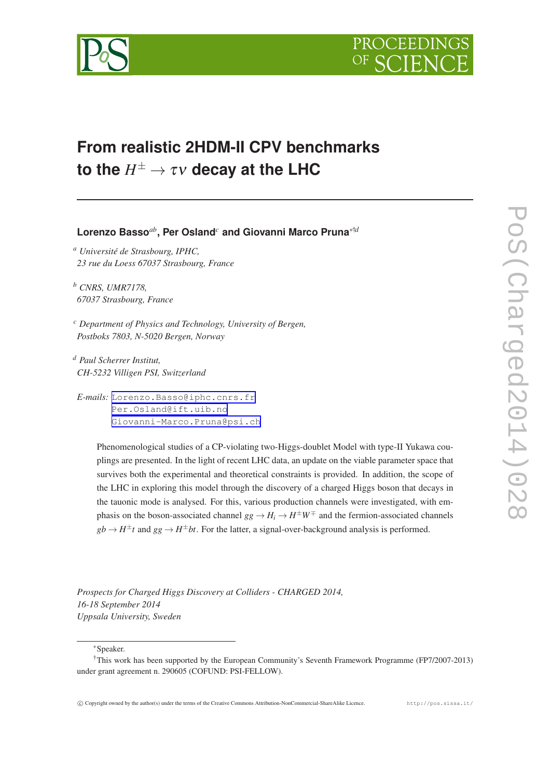

# **From realistic 2HDM-II CPV benchmarks to the**  $H^{\pm} \rightarrow \tau \nu$  **decay at the LHC**

**Lorenzo Basso***ab***, Per Osland***<sup>c</sup>* **and Giovanni Marco Pruna**∗†*<sup>d</sup>*

*<sup>a</sup> Université de Strasbourg, IPHC, 23 rue du Loess 67037 Strasbourg, France*

*<sup>b</sup> CNRS, UMR7178, 67037 Strasbourg, France*

*<sup>c</sup> Department of Physics and Technology, University of Bergen, Postboks 7803, N-5020 Bergen, Norway*

*<sup>d</sup> Paul Scherrer Institut, CH-5232 Villigen PSI, Switzerland*

*E-mails:* [Lorenzo.Basso@iphc.cnrs.fr](mailto:Lorenzo.Basso@iphc.cnrs.fr) [Per.Osland@ift.uib.no](mailto:Per.Osland@ift.uib.no) [Giovanni-Marco.Pruna@psi.ch](mailto:Giovanni-Marco.Pruna@psi.ch)

> Phenomenological studies of a CP-violating two-Higgs-doublet Model with type-II Yukawa couplings are presented. In the light of recent LHC data, an update on the viable parameter space that survives both the experimental and theoretical constraints is provided. In addition, the scope of the LHC in exploring this model through the discovery of a charged Higgs boson that decays in the tauonic mode is analysed. For this, various production channels were investigated, with emphasis on the boson-associated channel  $gg \to H_i \to H^{\pm}W^{\mp}$  and the fermion-associated channels  $gb \rightarrow H^{\pm}t$  and  $gg \rightarrow H^{\pm}bt$ . For the latter, a signal-over-background analysis is performed.

*Prospects for Charged Higgs Discovery at Colliders - CHARGED 2014, 16-18 September 2014 Uppsala University, Sweden*

∗Speaker.

<sup>†</sup>This work has been supported by the European Community's Seventh Framework Programme (FP7/2007-2013) under grant agreement n. 290605 (COFUND: PSI-FELLOW).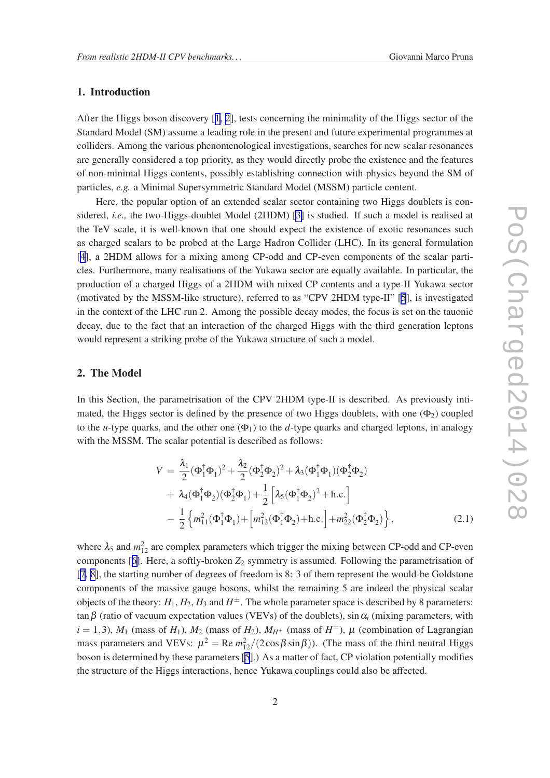## 1. Introduction

After the Higgs boson discovery [[1](#page-5-0), [2](#page-5-0)], tests concerning the minimality of the Higgs sector of the Standard Model (SM) assume a leading role in the present and future experimental programmes at colliders. Among the various phenomenological investigations, searches for new scalar resonances are generally considered a top priority, as they would directly probe the existence and the features of non-minimal Higgs contents, possibly establishing connection with physics beyond the SM of particles, *e.g.* a Minimal Supersymmetric Standard Model (MSSM) particle content.

Here, the popular option of an extended scalar sector containing two Higgs doublets is considered, *i.e.,* the two-Higgs-doublet Model (2HDM) [\[3\]](#page-5-0) is studied. If such a model is realised at the TeV scale, it is well-known that one should expect the existence of exotic resonances such as charged scalars to be probed at the Large Hadron Collider (LHC). In its general formulation [[4](#page-5-0)], a 2HDM allows for a mixing among CP-odd and CP-even components of the scalar particles. Furthermore, many realisations of the Yukawa sector are equally available. In particular, the production of a charged Higgs of a 2HDM with mixed CP contents and a type-II Yukawa sector (motivated by the MSSM-like structure), referred to as "CPV 2HDM type-II" [\[5](#page-5-0)], is investigated in the context of the LHC run 2. Among the possible decay modes, the focus is set on the tauonic decay, due to the fact that an interaction of the charged Higgs with the third generation leptons would represent a striking probe of the Yukawa structure of such a model.

## 2. The Model

In this Section, the parametrisation of the CPV 2HDM type-II is described. As previously intimated, the Higgs sector is defined by the presence of two Higgs doublets, with one  $(\Phi_2)$  coupled to the *u*-type quarks, and the other one  $(\Phi_1)$  to the *d*-type quarks and charged leptons, in analogy with the MSSM. The scalar potential is described as follows:

$$
V = \frac{\lambda_1}{2} (\Phi_1^{\dagger} \Phi_1)^2 + \frac{\lambda_2}{2} (\Phi_2^{\dagger} \Phi_2)^2 + \lambda_3 (\Phi_1^{\dagger} \Phi_1) (\Phi_2^{\dagger} \Phi_2)
$$
  
+  $\lambda_4 (\Phi_1^{\dagger} \Phi_2) (\Phi_2^{\dagger} \Phi_1) + \frac{1}{2} [\lambda_5 (\Phi_1^{\dagger} \Phi_2)^2 + \text{h.c.}]$   
-  $\frac{1}{2} \{ m_{11}^2 (\Phi_1^{\dagger} \Phi_1) + [m_{12}^2 (\Phi_1^{\dagger} \Phi_2) + \text{h.c.}] + m_{22}^2 (\Phi_2^{\dagger} \Phi_2) \},$  (2.1)

where  $\lambda_5$  and  $m_{12}^2$  are complex parameters which trigger the mixing between CP-odd and CP-even components [[6](#page-5-0)]. Here, a softly-broken  $Z_2$  symmetry is assumed. Following the parametrisation of [[7](#page-5-0), [8](#page-5-0)], the starting number of degrees of freedom is 8: 3 of them represent the would-be Goldstone components of the massive gauge bosons, whilst the remaining 5 are indeed the physical scalar objects of the theory:  $H_1, H_2, H_3$  and  $H^{\pm}$ . The whole parameter space is described by 8 parameters: tan  $\beta$  (ratio of vacuum expectation values (VEVs) of the doublets), sin  $\alpha_i$  (mixing parameters, with  $i = 1,3$ ),  $M_1$  (mass of  $H_1$ ),  $M_2$  (mass of  $H_2$ ),  $M_{H^{\pm}}$  (mass of  $H^{\pm}$ ),  $\mu$  (combination of Lagrangian mass parameters and VEVs:  $\mu^2 = \text{Re} m_{12}^2/(2 \cos \beta \sin \beta)$ ). (The mass of the third neutral Higgs boson is determined by these parameters [[5](#page-5-0)].) As a matter of fact, CP violation potentially modifies the structure of the Higgs interactions, hence Yukawa couplings could also be affected.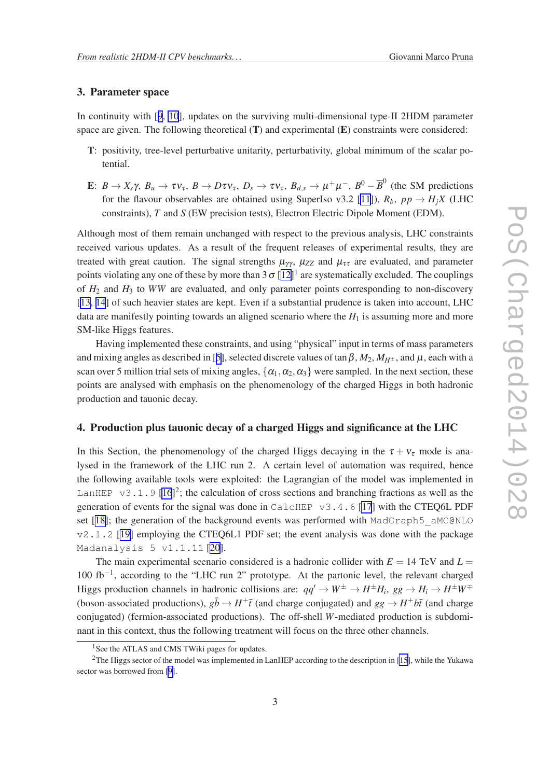### 3. Parameter space

In continuity with [[9](#page-5-0), [10](#page-5-0)], updates on the surviving multi-dimensional type-II 2HDM parameter space are given. The following theoretical  $(T)$  and experimental  $(E)$  constraints were considered:

- T: positivity, tree-level perturbative unitarity, perturbativity, global minimum of the scalar potential.
- E:  $B \to X_s \gamma$ ,  $B_u \to \tau \nu_{\tau}$ ,  $B \to D \tau \nu_{\tau}$ ,  $D_s \to \tau \nu_{\tau}$ ,  $B_{d,s} \to \mu^+ \mu^-$ ,  $B^0 \overline{B}^0$  (the SM predictions for the flavour observables are obtained using SuperIso v3.2 [\[11\]](#page-5-0)),  $R_b$ ,  $pp \rightarrow H_j X$  (LHC constraints), *T* and *S* (EW precision tests), Electron Electric Dipole Moment (EDM).

Although most of them remain unchanged with respect to the previous analysis, LHC constraints received various updates. As a result of the frequent releases of experimental results, they are treated with great caution. The signal strengths  $\mu_{\gamma\gamma}$ ,  $\mu_{ZZ}$  and  $\mu_{\tau\tau}$  are evaluated, and parameter points violating any one of these by more than  $3\sigma$  [[12\]](#page-5-0)<sup>1</sup> are systematically excluded. The couplings of  $H_2$  and  $H_3$  to *WW* are evaluated, and only parameter points corresponding to non-discovery [[13, 14](#page-5-0)] of such heavier states are kept. Even if a substantial prudence is taken into account, LHC data are manifestly pointing towards an aligned scenario where the  $H_1$  is assuming more and more SM-like Higgs features.

Having implemented these constraints, and using "physical" input in terms of mass parameters and mixing angles as described in [[5](#page-5-0)], selected discrete values of tan  $\beta$ ,  $M_2$ ,  $M_{H^{\pm}}$ , and  $\mu$ , each with a scan over 5 million trial sets of mixing angles,  $\{\alpha_1, \alpha_2, \alpha_3\}$  were sampled. In the next section, these points are analysed with emphasis on the phenomenology of the charged Higgs in both hadronic production and tauonic decay.

#### 4. Production plus tauonic decay of a charged Higgs and significance at the LHC

In this Section, the phenomenology of the charged Higgs decaying in the  $\tau + v_{\tau}$  mode is analysed in the framework of the LHC run 2. A certain level of automation was required, hence the following available tools were exploited: the Lagrangian of the model was implemented in LanHEP  $\,\mathrm{v}3.1.9\,[16]^2$  $\,\mathrm{v}3.1.9\,[16]^2$  $\,\mathrm{v}3.1.9\,[16]^2$ ; the calculation of cross sections and branching fractions as well as the generation of events for the signal was done in CalcHEP v3.4.6 [\[17](#page-5-0)] with the CTEQ6L PDF set [[18\]](#page-5-0); the generation of the background events was performed with MadGraph5 aMC@NLO  $v2.1.2$  [[19\]](#page-5-0) employing the CTEO6L1 PDF set; the event analysis was done with the package Madanalysis 5 v1.1.11 [\[20](#page-5-0)].

The main experimental scenario considered is a hadronic collider with  $E = 14$  TeV and  $L =$ 100 fb−<sup>1</sup> , according to the "LHC run 2" prototype. At the partonic level, the relevant charged Higgs production channels in hadronic collisions are:  $qq' \to W^{\pm} \to H^{\pm}H_i$ ,  $gg \to H_i \to H^{\pm}W^{\mp}$ (boson-associated productions),  $g\bar{b} \to H^+\bar{t}$  (and charge conjugated) and  $gg \to H^+b\bar{t}$  (and charge conjugated) (fermion-associated productions). The off-shell *W*-mediated production is subdominant in this context, thus the following treatment will focus on the three other channels.

<sup>&</sup>lt;sup>1</sup>See the ATLAS and CMS TWiki pages for updates.

<sup>&</sup>lt;sup>2</sup>The Higgs sector of the model was implemented in LanHEP according to the description in [\[15](#page-5-0)], while the Yukawa sector was borrowed from [\[9\]](#page-5-0).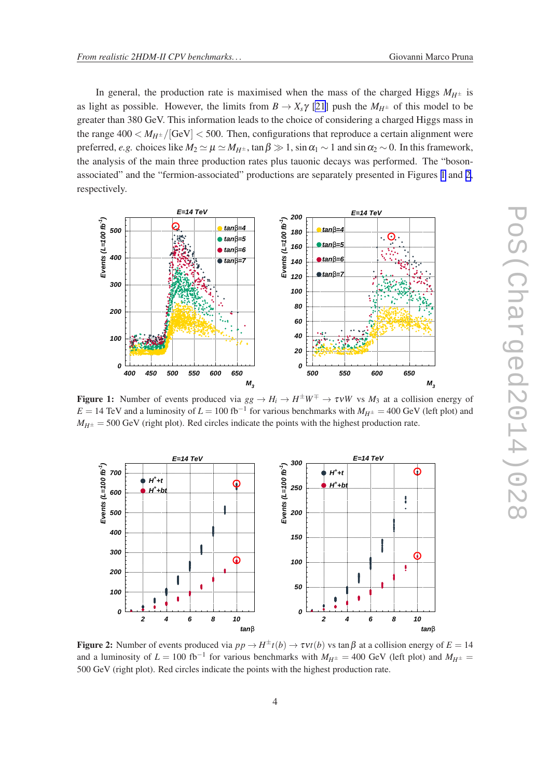<span id="page-3-0"></span>In general, the production rate is maximised when the mass of the charged Higgs  $M_{H^{\pm}}$  is as light as possible. However, the limits from  $B \to X_s \gamma$  [\[21](#page-5-0)] push the  $M_{H^{\pm}}$  of this model to be greater than 380 GeV. This information leads to the choice of considering a charged Higgs mass in the range  $400 < M_{H^{\pm}} / [\text{GeV}] < 500$ . Then, configurations that reproduce a certain alignment were preferred, *e.g.* choices like  $M_2 \simeq \mu \simeq M_{H^{\pm}}$ , tan  $\beta \gg 1$ , sin  $\alpha_1 \sim 1$  and sin  $\alpha_2 \sim 0$ . In this framework, the analysis of the main three production rates plus tauonic decays was performed. The "bosonassociated" and the "fermion-associated" productions are separately presented in Figures 1 and 2, respectively.



Figure 1: Number of events produced via  $gg \to H_i \to H^{\pm}W^{\mp} \to \tau\nu W$  vs  $M_3$  at a collision energy of  $E = 14$  TeV and a luminosity of  $L = 100$  fb<sup>-1</sup> for various benchmarks with  $M_{H^{\pm}} = 400$  GeV (left plot) and  $M_{H<sup>\pm</sup>}$  = 500 GeV (right plot). Red circles indicate the points with the highest production rate.



Figure 2: Number of events produced via  $pp \to H^{\pm}t(b) \to \tau vt(b)$  vs tan  $\beta$  at a collision energy of  $E = 14$ and a luminosity of  $L = 100 \text{ fb}^{-1}$  for various benchmarks with  $M_{H^{\pm}} = 400 \text{ GeV}$  (left plot) and  $M_{H^{\pm}} =$ 500 GeV (right plot). Red circles indicate the points with the highest production rate.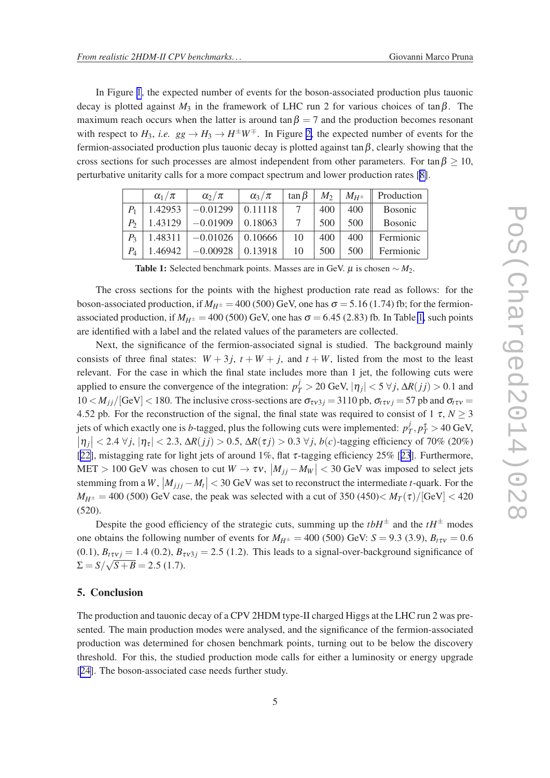In Figure [1](#page-3-0), the expected number of events for the boson-associated production plus tauonic decay is plotted against  $M_3$  in the framework of LHC run 2 for various choices of  $\tan \beta$ . The maximum reach occurs when the latter is around tan  $\beta = 7$  and the production becomes resonant with respect to  $H_3$ , *i.e.*  $gg \to H_3 \to H^{\pm}W^{\mp}$ . In Figure [2,](#page-3-0) the expected number of events for the fermion-associated production plus tauonic decay is plotted against tan  $\beta$ , clearly showing that the cross sections for such processes are almost independent from other parameters. For tan  $\beta \geq 10$ , perturbative unitarity calls for a more compact spectrum and lower production rates [\[8\]](#page-5-0).

|         | $\alpha_1/\pi$ | $\alpha_2/\pi$ | $\alpha_3/\pi$ | $\tan \beta$ | $M_2$ | $M_{H^\pm}$ | Production |
|---------|----------------|----------------|----------------|--------------|-------|-------------|------------|
| $P_{1}$ | 1.42953        | $-0.01299$     | 0.11118        |              | 400   | 400         | Bosonic    |
| $P_{2}$ | 1.43129        | $-0.01909$     | 0.18063        |              | 500   | 500         | Bosonic    |
| $P_{3}$ | 1.48311        | $-0.01026$     | 0.10666        | 10           | 400   | 400         | Fermionic  |
| $P_4$   | 1.46942        | $-0.00928$     | 0.13918        | 10           | 500   | 500         | Fermionic  |

Table 1: Selected benchmark points. Masses are in GeV.  $\mu$  is chosen  $\sim M_2$ .

The cross sections for the points with the highest production rate read as follows: for the boson-associated production, if  $M_{H^{\pm}} = 400$  (500) GeV, one has  $\sigma = 5.16$  (1.74) fb; for the fermionassociated production, if  $M_{H^{\pm}} = 400$  (500) GeV, one has  $\sigma = 6.45$  (2.83) fb. In Table 1, such points are identified with a label and the related values of the parameters are collected.

Next, the significance of the fermion-associated signal is studied. The background mainly consists of three final states:  $W + 3j$ ,  $t + W + j$ , and  $t + W$ , listed from the most to the least relevant. For the case in which the final state includes more than 1 jet, the following cuts were applied to ensure the convergence of the integration:  $p_T^j > 20$  GeV,  $|\eta_j| < 5 \forall j$ ,  $\Delta R(jj) > 0.1$  and  $10 < M_{ii}/[GeV] < 180$ . The inclusive cross-sections are  $\sigma_{\tau v3i} = 3110$  pb,  $\sigma_{\tau v i} = 57$  pb and  $\sigma_{\tau v} =$ 4.52 pb. For the reconstruction of the signal, the final state was required to consist of  $1 \tau$ ,  $N > 3$ jets of which exactly one is *b*-tagged, plus the following cuts were implemented:  $p_7^j$  $T_{T}$ ,  $p_{T}^{\tau}$  > 40 GeV,  $|\eta_j|$  < 2.4  $\forall j, |\eta_{\tau}|$  < 2.3,  $\Delta R(jj) > 0.5$ ,  $\Delta R(\tau j) > 0.3 \ \forall j, b(c)$ -tagging efficiency of 70% (20%) [[22\]](#page-5-0), mistagging rate for light jets of around 1%, flat  $\tau$ -tagging efficiency 25% [[23](#page-5-0)]. Furthermore,  $MET > 100 \text{ GeV}$  was chosen to cut  $W \to \tau v$ ,  $|M_{jj} - M_W| < 30 \text{ GeV}$  was imposed to select jets stemming from a *W*,  $|M_{jjj} - M_t|$  < 30 GeV was set to reconstruct the intermediate *t*-quark. For the  $M_{H^{\pm}} = 400$  (500) GeV case, the peak was selected with a cut of 350 (450) $< M_T(\tau)/[GeV] < 420$ (520).

Despite the good efficiency of the strategic cuts, summing up the  $tbH^{\pm}$  and the  $tH^{\pm}$  modes one obtains the following number of events for  $M_{H^{\pm}} = 400$  (500) GeV:  $S = 9.3$  (3.9),  $B_{t\tau v} = 0.6$  $(0.1)$ ,  $B_{\tau \nu i} = 1.4$   $(0.2)$ ,  $B_{\tau \nu 3 i} = 2.5$   $(1.2)$ . This leads to a signal-over-background significance of  $\Sigma = S/\sqrt{S+B} = 2.5$  (1.7).

#### 5. Conclusion

The production and tauonic decay of a CPV 2HDM type-II charged Higgs at the LHC run 2 was presented. The main production modes were analysed, and the significance of the fermion-associated production was determined for chosen benchmark points, turning out to be below the discovery threshold. For this, the studied production mode calls for either a luminosity or energy upgrade [[24\]](#page-5-0). The boson-associated case needs further study.